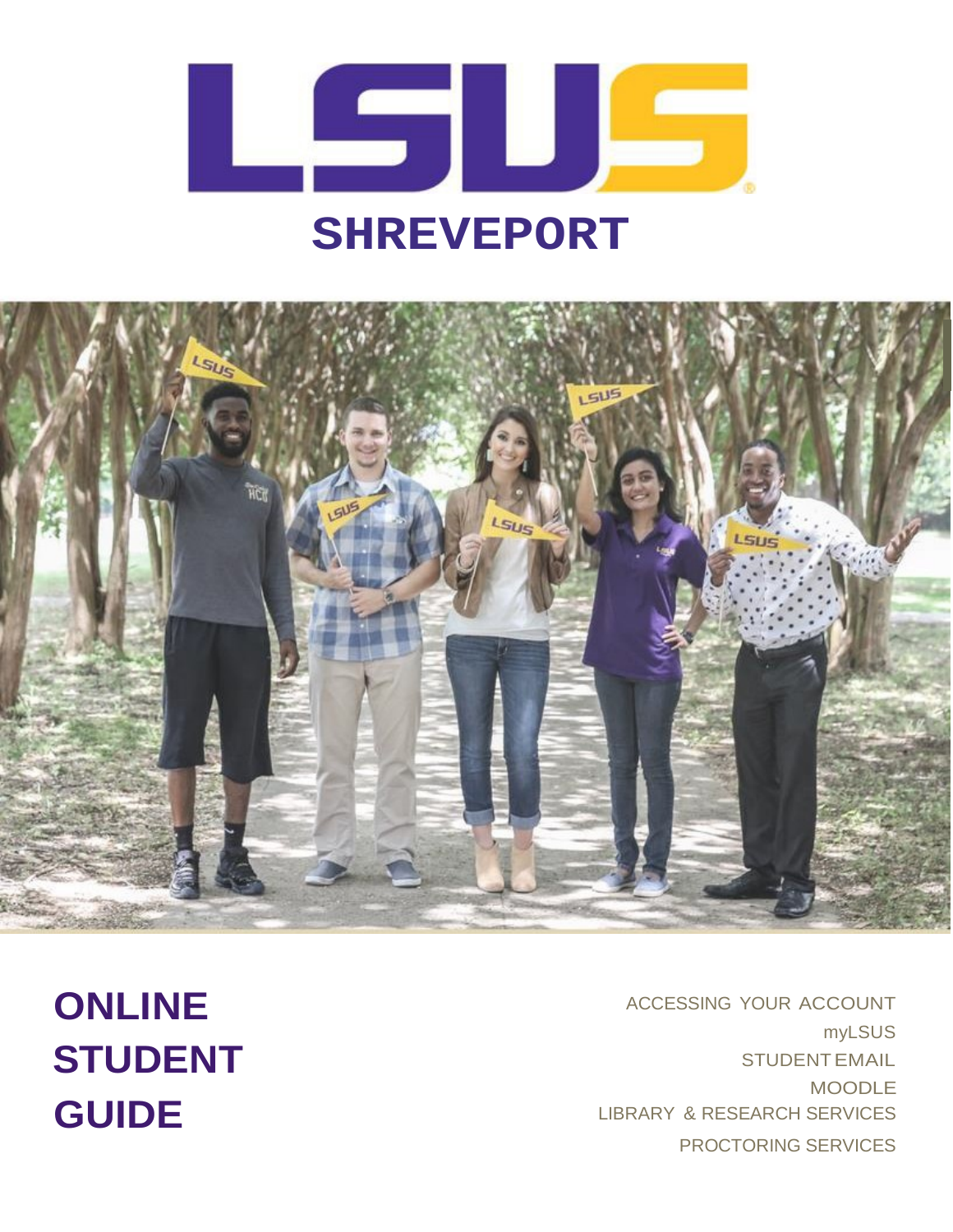

# $515$

ACCESSING YOUR ACCOUNT myLSUS STUDENTEMAIL MOODLE LIBRARY & RESEARCH SERVICES PROCTORING SERVICES

**ONLINE STUDENT GUIDE**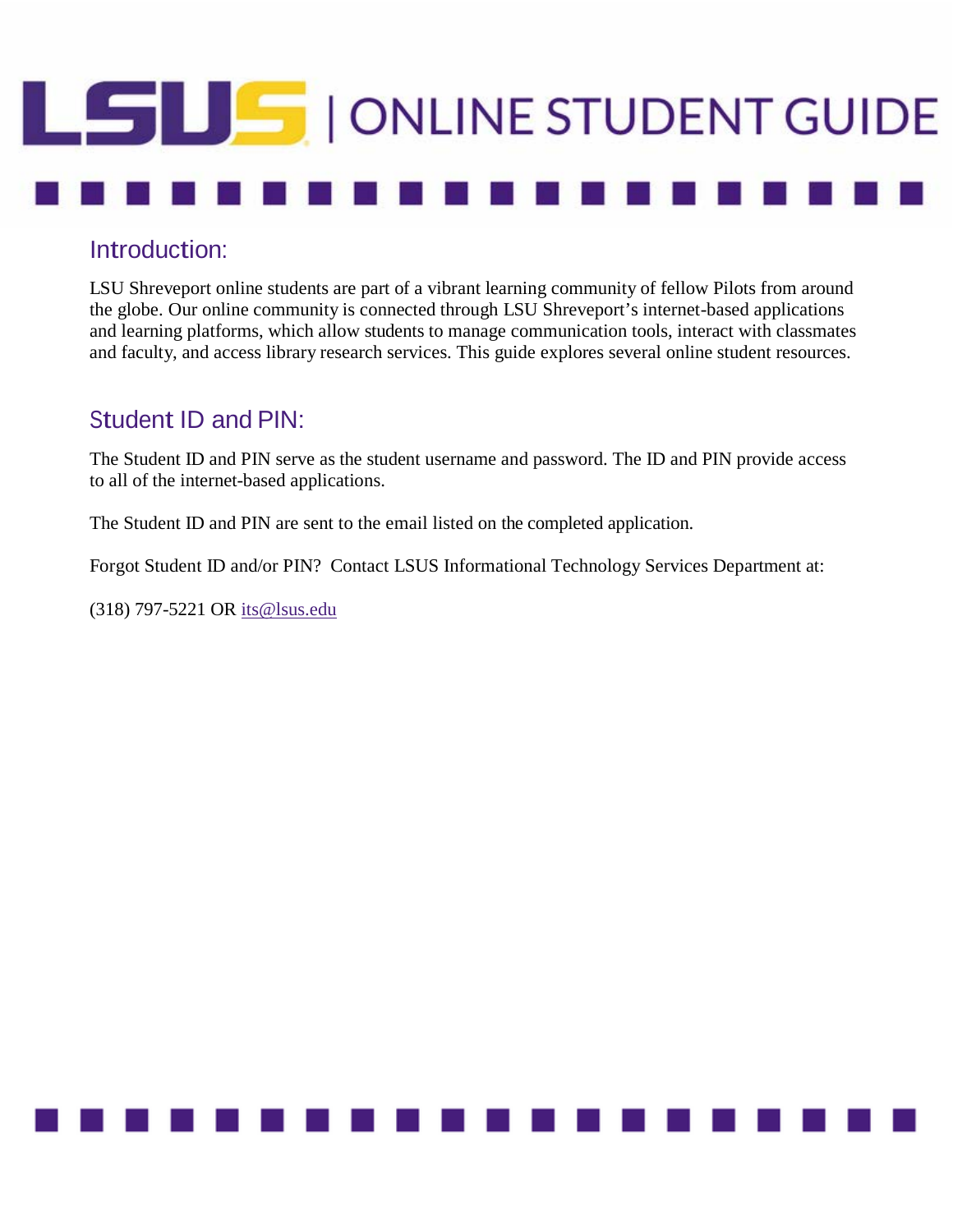# **SUS** | ONLINE STUDENT GUIDE

### Introduction:

LSU Shreveport online students are part of a vibrant learning community of fellow Pilots from around the globe. Our online community is connected through LSU Shreveport's internet-based applications and learning platforms, which allow students to manage communication tools, interact with classmates and faculty, and access library research services. This guide explores several online student resources.

### Student ID and PIN:

The Student ID and PIN serve as the student username and password. The ID and PIN provide access to all of the internet-based applications.

The Student ID and PIN are sent to the email listed on the completed application.

Forgot Student ID and/or PIN? Contact LSUS Informational Technology Services Department at:

(318) 797-5221 OR [its@lsus.edu](mailto:its@lsus.edu)

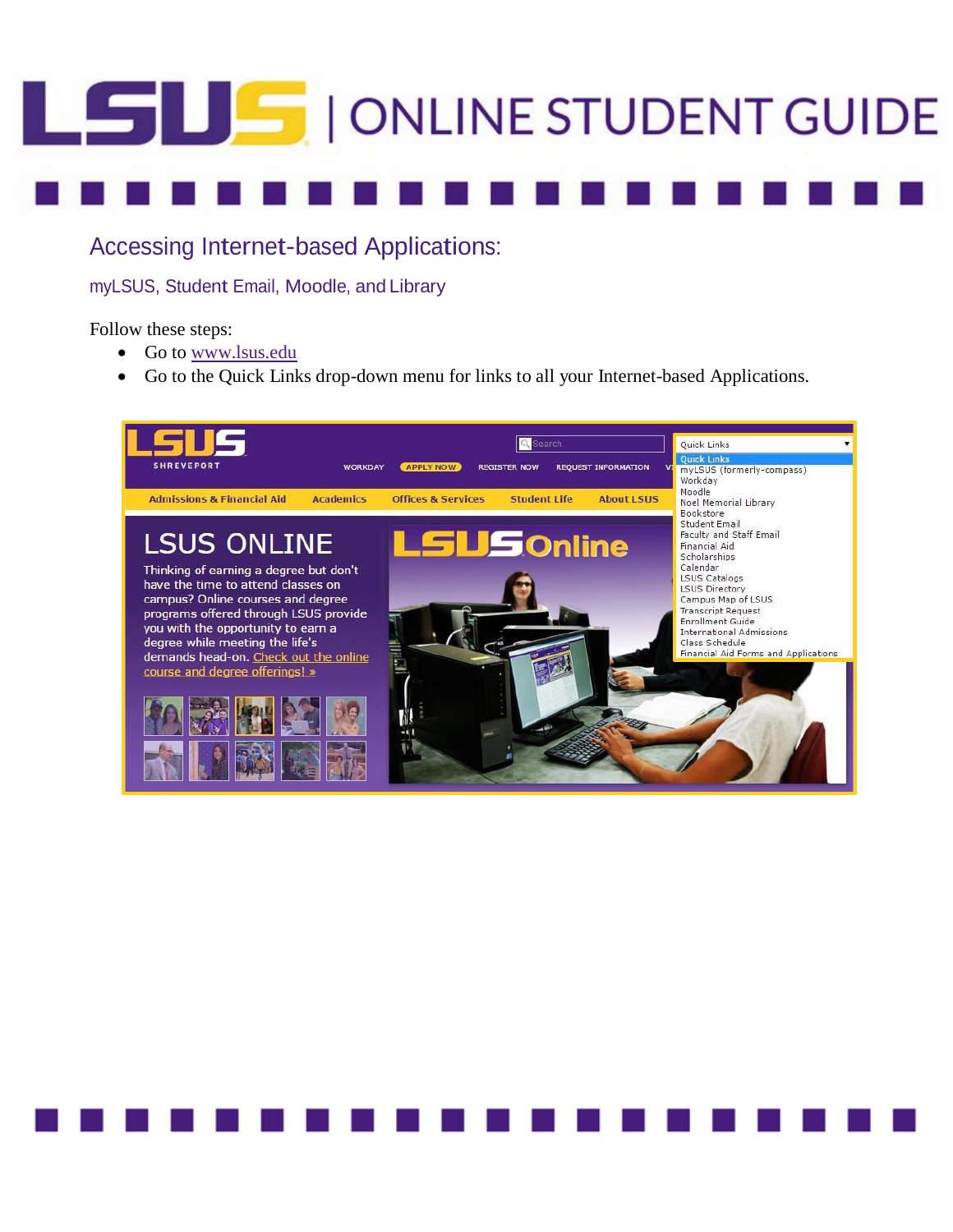# LSUS | ONLINE STUDENT GUIDE

Accessing Internet-based Applications:

myLSUS, Student Email, Moodle, and Library

Follow these steps:

- Go to [www.lsus.edu](http://www.lsus.edu/)
- Go to the Quick Links drop-down menu for links to all your Internet-based Applications.

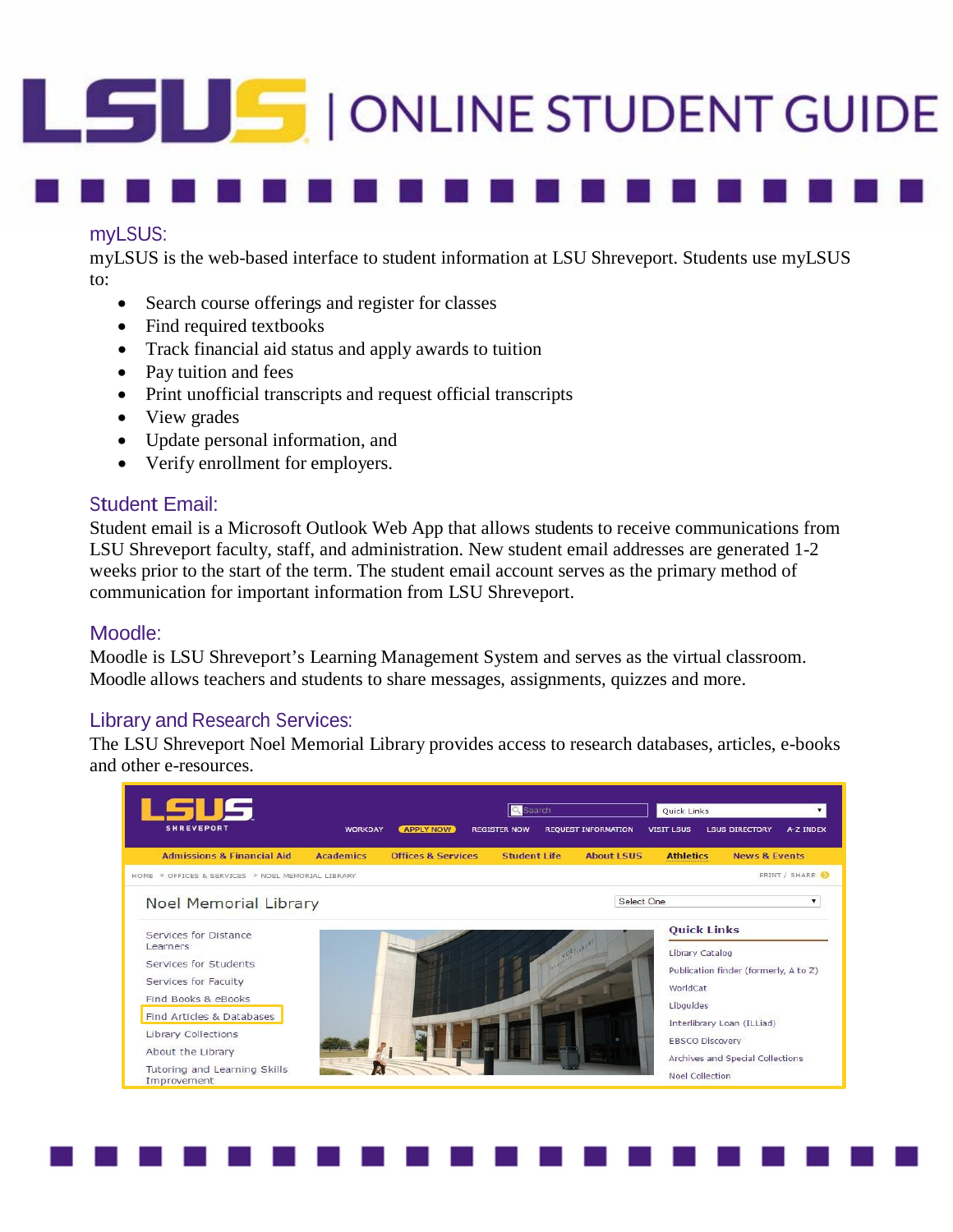## LSUS | ONLINE STUDENT GUIDE

### myLSUS:

myLSUS is the web-based interface to student information at LSU Shreveport. Students use myLSUS to:

- Search course offerings and register for classes
- Find required textbooks
- Track financial aid status and apply awards to tuition
- Pay tuition and fees
- Print unofficial transcripts and request official transcripts
- View grades
- Update personal information, and
- Verify enrollment for employers.

### Student Email:

Student email is a Microsoft Outlook Web App that allows students to receive communications from LSU Shreveport faculty, staff, and administration. New student email addresses are generated 1-2 weeks prior to the start of the term. The student email account serves as the primary method of communication for important information from LSU Shreveport.

### Moodle:

Moodle is LSU Shreveport's Learning Management System and serves as the virtual classroom. Moodle allows teachers and students to share messages, assignments, quizzes and more.

### Library and Research Services:

The LSU Shreveport Noel Memorial Library provides access to research databases, articles, e-books and other e-resources.